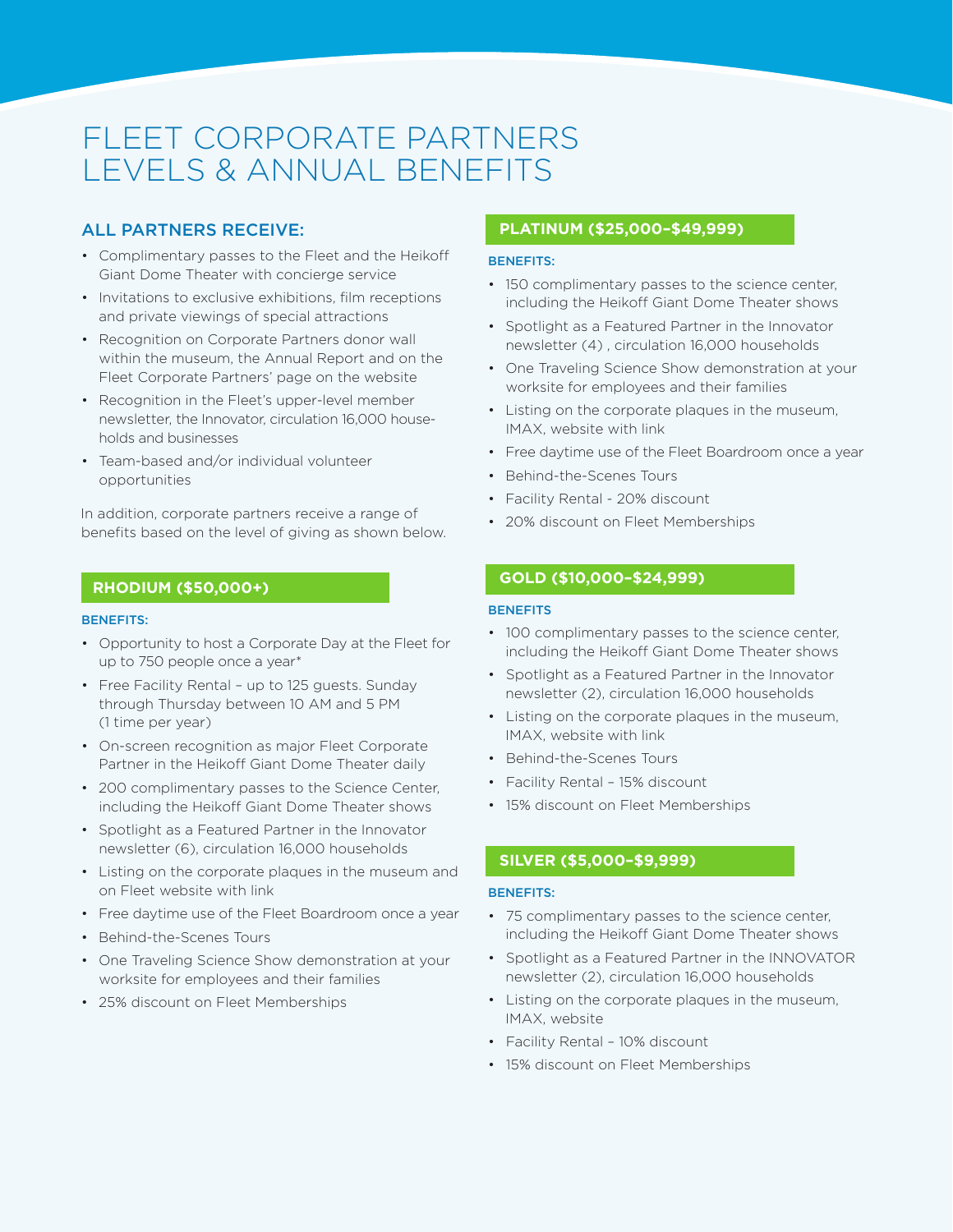# FLEET CORPORATE PARTNERS LEVELS & ANNUAL BENEFITS

## ALL PARTNERS RECEIVE:

- Complimentary passes to the Fleet and the Heikoff Giant Dome Theater with concierge service
- Invitations to exclusive exhibitions, film receptions and private viewings of special attractions
- Recognition on Corporate Partners donor wall within the museum, the Annual Report and on the Fleet Corporate Partners' page on the website
- Recognition in the Fleet's upper-level member newsletter, the Innovator, circulation 16,000 households and businesses
- Team-based and/or individual volunteer opportunities

In addition, corporate partners receive a range of benefits based on the level of giving as shown below.

### **RHODIUM (\$50,000+)**

#### BENEFITS:

- Opportunity to host a Corporate Day at the Fleet for up to 750 people once a year\*
- Free Facility Rental up to 125 guests. Sunday through Thursday between 10 AM and 5 PM (1 time per year)
- On-screen recognition as major Fleet Corporate Partner in the Heikoff Giant Dome Theater daily
- 200 complimentary passes to the Science Center, including the Heikoff Giant Dome Theater shows
- Spotlight as a Featured Partner in the Innovator newsletter (6), circulation 16,000 households
- Listing on the corporate plaques in the museum and on Fleet website with link
- Free daytime use of the Fleet Boardroom once a year
- Behind-the-Scenes Tours
- One Traveling Science Show demonstration at your worksite for employees and their families
- 25% discount on Fleet Memberships

## **PLATINUM (\$25,000–\$49,999)**

#### BENEFITS:

- 150 complimentary passes to the science center, including the Heikoff Giant Dome Theater shows
- Spotlight as a Featured Partner in the Innovator newsletter (4) , circulation 16,000 households
- One Traveling Science Show demonstration at your worksite for employees and their families
- Listing on the corporate plaques in the museum, IMAX, website with link
- Free daytime use of the Fleet Boardroom once a year
- Behind-the-Scenes Tours
- Facility Rental 20% discount
- 20% discount on Fleet Memberships

## **GOLD (\$10,000–\$24,999)**

#### **BENEFITS**

- 100 complimentary passes to the science center, including the Heikoff Giant Dome Theater shows
- Spotlight as a Featured Partner in the Innovator newsletter (2), circulation 16,000 households
- Listing on the corporate plaques in the museum, IMAX, website with link
- Behind-the-Scenes Tours
- Facility Rental 15% discount
- 15% discount on Fleet Memberships

## **SILVER (\$5,000–\$9,999)**

#### BENEFITS:

- 75 complimentary passes to the science center, including the Heikoff Giant Dome Theater shows
- Spotlight as a Featured Partner in the INNOVATOR newsletter (2), circulation 16,000 households
- Listing on the corporate plaques in the museum, IMAX, website
- Facility Rental 10% discount
- 15% discount on Fleet Memberships